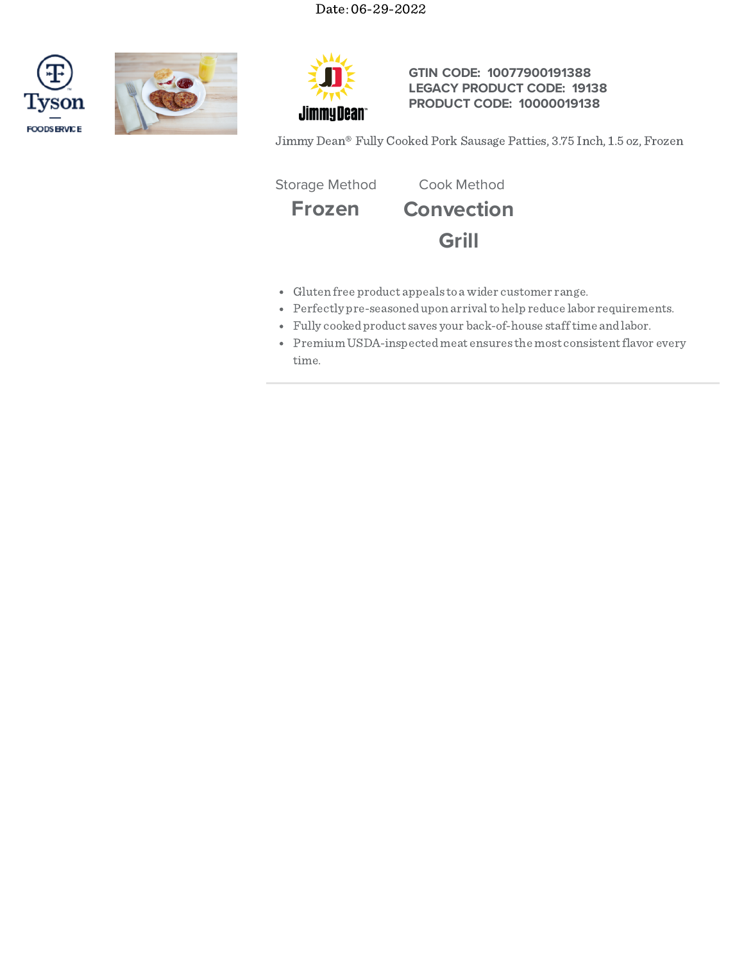





# **GTIN CODE: 10077900191388 LEGACY PRODUCT CODE: 19138 PRODUCT CODE: 10000019138**

Jimmy Dean® Fully Cooked Pork Sausage Patties, 3.75 Inch, 1.5 oz, Frozen

Storage Method Cook Method

**Frozen Convection**



- Gluten free product appeals to a wider customer range.
- Perfectly pre-seasonedupon arrivaltohelp reduce labor requirements.
- Fully cookedproduct saves your back-of-house stafftime andlabor.
- Premium USDA-inspected meat ensures the most consistent flavor every time.